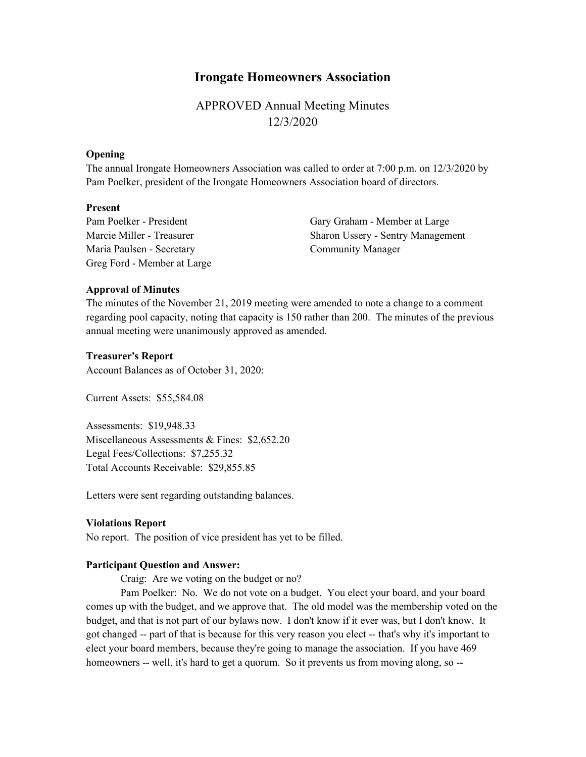# Irongate Homeowners Association

APPROVED Annual Meeting Minutes 12/3/2020

### **Opening**

The annual Irongate Homeowners Association was called to order at 7:00 p.m. on 12/3/2020 by Pam Poelker, president of the Irongate Homeowners Association board of directors.

### Present

Pam Poelker - President Marcie Miller - Treasurer Maria Paulsen - Secretary Greg Ford - Member at Large Gary Graham - Member at Large Sharon Ussery - Sentry Management Community Manager

#### Approval of Minutes

The minutes of the November 21, 2019 meeting were amended to note a change to a comment regarding pool capacity, noting that capacity is 150 rather than 200. The minutes of the previous annual meeting were unanimously approved as amended.

#### Treasurer's Report

Account Balances as of October 31, 2020:

Current Assets: \$55,584.08

Assessments: \$19,948.33 Miscellaneous Assessments & Fines: \$2,652.20 Legal Fees/Collections: \$7,255.32 Total Accounts Receivable: \$29,855.85

Letters were sent regarding outstanding balances.

#### Violations Report

No report. The position of vice president has yet to be filled.

#### Participant Question and Answer:

Craig: Are we voting on the budget or no?

 Pam Poelker: No. We do not vote on a budget. You elect your board, and your board comes up with the budget, and we approve that. The old model was the membership voted on the budget, and that is not part of our bylaws now. I don't know if it ever was, but I don't know. It got changed -- part of that is because for this very reason you elect -- that's why it's important to elect your board members, because they're going to manage the association. If you have 469 homeowners -- well, it's hard to get a quorum. So it prevents us from moving along, so --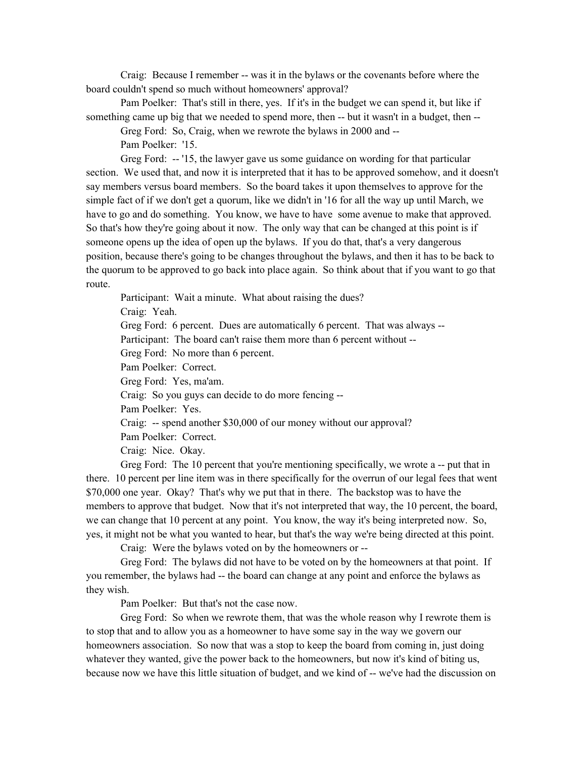Craig: Because I remember -- was it in the bylaws or the covenants before where the board couldn't spend so much without homeowners' approval?

 Pam Poelker: That's still in there, yes. If it's in the budget we can spend it, but like if something came up big that we needed to spend more, then -- but it wasn't in a budget, then --

Greg Ford: So, Craig, when we rewrote the bylaws in 2000 and --

Pam Poelker: '15.

 Greg Ford: -- '15, the lawyer gave us some guidance on wording for that particular section. We used that, and now it is interpreted that it has to be approved somehow, and it doesn't say members versus board members. So the board takes it upon themselves to approve for the simple fact of if we don't get a quorum, like we didn't in '16 for all the way up until March, we have to go and do something. You know, we have to have some avenue to make that approved. So that's how they're going about it now. The only way that can be changed at this point is if someone opens up the idea of open up the bylaws. If you do that, that's a very dangerous position, because there's going to be changes throughout the bylaws, and then it has to be back to the quorum to be approved to go back into place again. So think about that if you want to go that route.

 Participant: Wait a minute. What about raising the dues? Craig: Yeah. Greg Ford: 6 percent. Dues are automatically 6 percent. That was always -- Participant: The board can't raise them more than 6 percent without -- Greg Ford: No more than 6 percent. Pam Poelker: Correct. Greg Ford: Yes, ma'am. Craig: So you guys can decide to do more fencing -- Pam Poelker: Yes. Craig: -- spend another \$30,000 of our money without our approval? Pam Poelker: Correct. Craig: Nice. Okay.

 Greg Ford: The 10 percent that you're mentioning specifically, we wrote a -- put that in there. 10 percent per line item was in there specifically for the overrun of our legal fees that went \$70,000 one year. Okay? That's why we put that in there. The backstop was to have the members to approve that budget. Now that it's not interpreted that way, the 10 percent, the board, we can change that 10 percent at any point. You know, the way it's being interpreted now. So, yes, it might not be what you wanted to hear, but that's the way we're being directed at this point.

Craig: Were the bylaws voted on by the homeowners or --

 Greg Ford: The bylaws did not have to be voted on by the homeowners at that point. If you remember, the bylaws had -- the board can change at any point and enforce the bylaws as they wish.

Pam Poelker: But that's not the case now.

 Greg Ford: So when we rewrote them, that was the whole reason why I rewrote them is to stop that and to allow you as a homeowner to have some say in the way we govern our homeowners association. So now that was a stop to keep the board from coming in, just doing whatever they wanted, give the power back to the homeowners, but now it's kind of biting us, because now we have this little situation of budget, and we kind of -- we've had the discussion on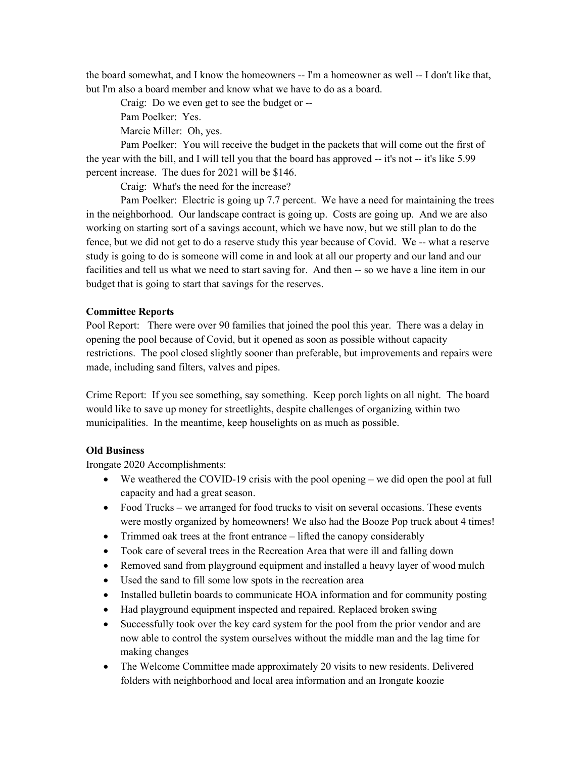the board somewhat, and I know the homeowners -- I'm a homeowner as well -- I don't like that, but I'm also a board member and know what we have to do as a board.

Craig: Do we even get to see the budget or --

Pam Poelker: Yes.

Marcie Miller: Oh, yes.

 Pam Poelker: You will receive the budget in the packets that will come out the first of the year with the bill, and I will tell you that the board has approved -- it's not -- it's like 5.99 percent increase. The dues for 2021 will be \$146.

Craig: What's the need for the increase?

 Pam Poelker: Electric is going up 7.7 percent. We have a need for maintaining the trees in the neighborhood. Our landscape contract is going up. Costs are going up. And we are also working on starting sort of a savings account, which we have now, but we still plan to do the fence, but we did not get to do a reserve study this year because of Covid. We -- what a reserve study is going to do is someone will come in and look at all our property and our land and our facilities and tell us what we need to start saving for. And then -- so we have a line item in our budget that is going to start that savings for the reserves.

# Committee Reports

Pool Report: There were over 90 families that joined the pool this year. There was a delay in opening the pool because of Covid, but it opened as soon as possible without capacity restrictions. The pool closed slightly sooner than preferable, but improvements and repairs were made, including sand filters, valves and pipes.

Crime Report: If you see something, say something. Keep porch lights on all night. The board would like to save up money for streetlights, despite challenges of organizing within two municipalities. In the meantime, keep houselights on as much as possible.

# Old Business

Irongate 2020 Accomplishments:

- $\bullet$  We weathered the COVID-19 crisis with the pool opening we did open the pool at full capacity and had a great season.
- Food Trucks we arranged for food trucks to visit on several occasions. These events were mostly organized by homeowners! We also had the Booze Pop truck about 4 times!
- Trimmed oak trees at the front entrance lifted the canopy considerably
- Took care of several trees in the Recreation Area that were ill and falling down
- Removed sand from playground equipment and installed a heavy layer of wood mulch
- Used the sand to fill some low spots in the recreation area
- Installed bulletin boards to communicate HOA information and for community posting
- Had playground equipment inspected and repaired. Replaced broken swing
- Successfully took over the key card system for the pool from the prior vendor and are now able to control the system ourselves without the middle man and the lag time for making changes
- The Welcome Committee made approximately 20 visits to new residents. Delivered folders with neighborhood and local area information and an Irongate koozie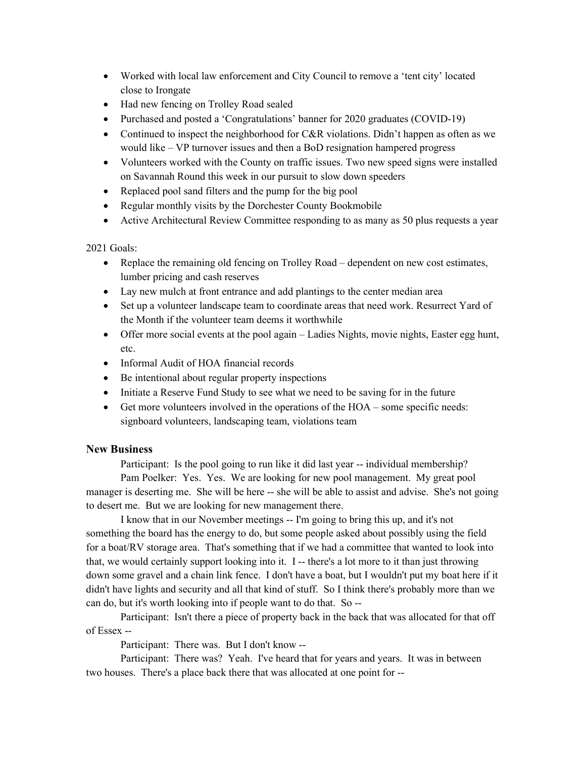- Worked with local law enforcement and City Council to remove a 'tent city' located close to Irongate
- Had new fencing on Trolley Road sealed
- Purchased and posted a 'Congratulations' banner for 2020 graduates (COVID-19)
- Continued to inspect the neighborhood for C&R violations. Didn't happen as often as we would like – VP turnover issues and then a BoD resignation hampered progress
- Volunteers worked with the County on traffic issues. Two new speed signs were installed on Savannah Round this week in our pursuit to slow down speeders
- Replaced pool sand filters and the pump for the big pool
- Regular monthly visits by the Dorchester County Bookmobile
- Active Architectural Review Committee responding to as many as 50 plus requests a year

2021 Goals:

- Replace the remaining old fencing on Trolley Road dependent on new cost estimates, lumber pricing and cash reserves
- Lay new mulch at front entrance and add plantings to the center median area
- Set up a volunteer landscape team to coordinate areas that need work. Resurrect Yard of the Month if the volunteer team deems it worthwhile
- Offer more social events at the pool again Ladies Nights, movie nights, Easter egg hunt, etc.
- Informal Audit of HOA financial records
- Be intentional about regular property inspections
- Initiate a Reserve Fund Study to see what we need to be saving for in the future
- Get more volunteers involved in the operations of the HOA some specific needs: signboard volunteers, landscaping team, violations team

# New Business

Participant: Is the pool going to run like it did last year -- individual membership?

 Pam Poelker: Yes. Yes. We are looking for new pool management. My great pool manager is deserting me. She will be here -- she will be able to assist and advise. She's not going to desert me. But we are looking for new management there.

 I know that in our November meetings -- I'm going to bring this up, and it's not something the board has the energy to do, but some people asked about possibly using the field for a boat/RV storage area. That's something that if we had a committee that wanted to look into that, we would certainly support looking into it. I -- there's a lot more to it than just throwing down some gravel and a chain link fence. I don't have a boat, but I wouldn't put my boat here if it didn't have lights and security and all that kind of stuff. So I think there's probably more than we can do, but it's worth looking into if people want to do that. So --

 Participant: Isn't there a piece of property back in the back that was allocated for that off of Essex --

Participant: There was. But I don't know --

 Participant: There was? Yeah. I've heard that for years and years. It was in between two houses. There's a place back there that was allocated at one point for --